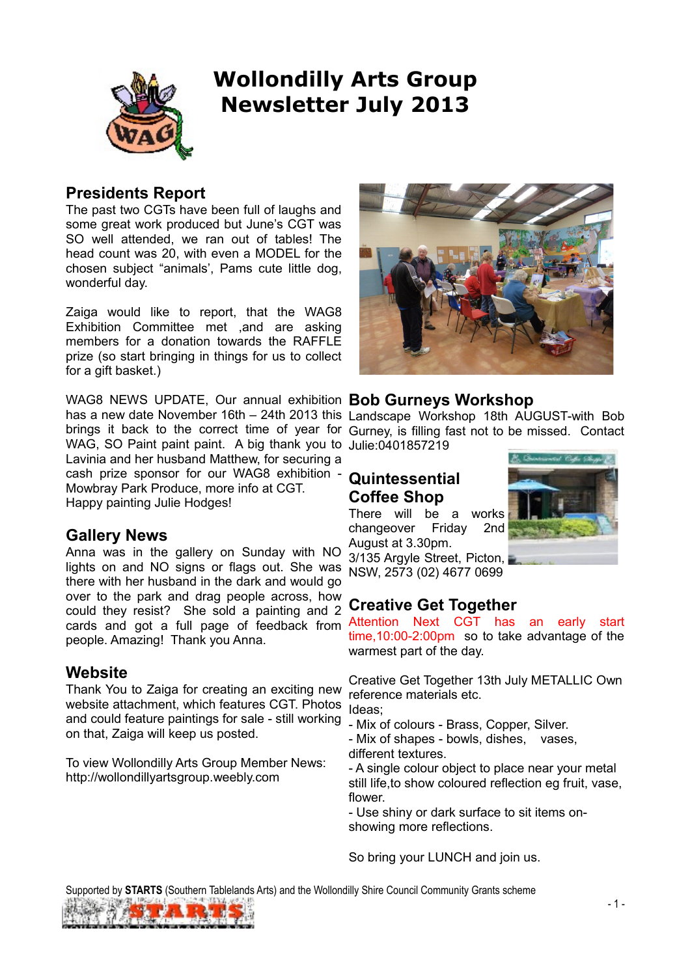

# **Wollondilly Arts Group Newsletter July 2013**

### **Presidents Report**

The past two CGTs have been full of laughs and some great work produced but June's CGT was SO well attended, we ran out of tables! The head count was 20, with even a MODEL for the chosen subject "animals', Pams cute little dog, wonderful day.

Zaiga would like to report, that the WAG8 Exhibition Committee met ,and are asking members for a donation towards the RAFFLE prize (so start bringing in things for us to collect for a gift basket.)

WAG8 NEWS UPDATE, Our annual exhibition **Bob Gurneys Workshop** has a new date November 16th – 24th 2013 this Landscape Workshop 18th AUGUST-with Bob brings it back to the correct time of year for Gurney, is filling fast not to be missed. Contact WAG, SO Paint paint paint. A big thank you to Julie:0401857219 Lavinia and her husband Matthew, for securing a cash prize sponsor for our WAG8 exhibition - Mowbray Park Produce, more info at CGT. Happy painting Julie Hodges!

### **Gallery News**

Anna was in the gallery on Sunday with NO lights on and NO signs or flags out. She was there with her husband in the dark and would go over to the park and drag people across, how could they resist? She sold a painting and 2 cards and got a full page of feedback from people. Amazing! Thank you Anna.

### **Website**

Thank You to Zaiga for creating an exciting new website attachment, which features CGT. Photos and could feature paintings for sale - still working on that, Zaiga will keep us posted.

To view Wollondilly Arts Group Member News: http://wollondillyartsgroup.weebly.com



# **Quintessential Coffee Shop**

There will be a works changeover Friday 2nd August at 3.30pm.

3/135 Argyle Street, Picton, NSW, 2573 (02) 4677 0699



## **Creative Get Together**

Attention Next CGT has an early start time,10:00-2:00pm so to take advantage of the warmest part of the day.

Creative Get Together 13th July METALLIC Own reference materials etc. Ideas;

- Mix of colours - Brass, Copper, Silver.

- Mix of shapes - bowls, dishes, vases, different textures.

- A single colour object to place near your metal still life,to show coloured reflection eg fruit, vase, flower.

- Use shiny or dark surface to sit items onshowing more reflections.

So bring your LUNCH and join us.

Supported by **STARTS** (Southern Tablelands Arts) and the Wollondilly Shire Council Community Grants scheme